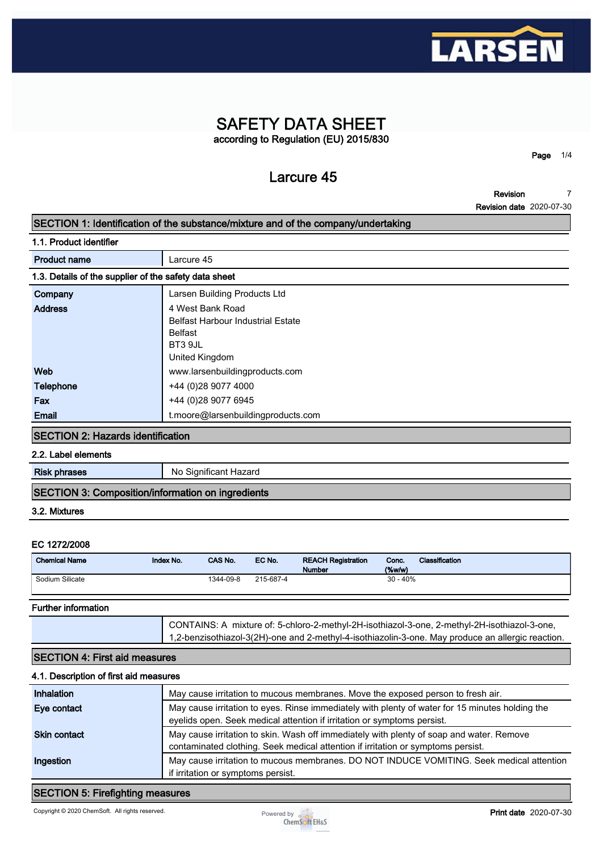

# **SAFETY DATA SHEET according to Regulation (EU) 2015/830**

**Larcure 45**

**Page 1/4**

**Revision Revision date 2020-07-30 7**

### **SECTION 1: Identification of the substance/mixture and of the company/undertaking**

**1.1. Product identifier**

| <b>Product name</b>                                   | Larcure 45                               |
|-------------------------------------------------------|------------------------------------------|
| 1.3. Details of the supplier of the safety data sheet |                                          |
| Company                                               | Larsen Building Products Ltd             |
| <b>Address</b>                                        | 4 West Bank Road                         |
|                                                       | <b>Belfast Harbour Industrial Estate</b> |
|                                                       | Belfast                                  |
|                                                       | BT3 9JL                                  |
|                                                       | United Kingdom                           |
| Web                                                   | www.larsenbuildingproducts.com           |
| <b>Telephone</b>                                      | +44 (0)28 9077 4000                      |
| Fax                                                   | +44 (0)28 9077 6945                      |
| Email                                                 | t.moore@larsenbuildingproducts.com       |
|                                                       |                                          |

#### **SECTION 2: Hazards identification**

**2.2. Label elements**

**Risk phrases** No Significant Hazard

### **SECTION 3: Composition/information on ingredients**

### **3.2. Mixtures**

### **EC 1272/2008**

| <b>Chemical Name</b> | Index No. | CAS No.   | EC No.    | <b>REACH Registration</b><br><b>Number</b> | Conc.<br>$($ %w/w $)$ | <b>Classification</b> |
|----------------------|-----------|-----------|-----------|--------------------------------------------|-----------------------|-----------------------|
| Sodium Silicate      |           | 1344-09-8 | 215-687-4 |                                            | 30 - 40%              |                       |

### **Further information**

**CONTAINS: A mixture of: 5-chloro-2-methyl-2H-isothiazol-3-one, 2-methyl-2H-isothiazol-3-one, 1,2-benzisothiazol-3(2H)-one and 2-methyl-4-isothiazolin-3-one. May produce an allergic reaction.**

### **SECTION 4: First aid measures**

### **4.1. Description of first aid measures**

| Inhalation   | May cause irritation to mucous membranes. Move the exposed person to fresh air.                                                                                              |
|--------------|------------------------------------------------------------------------------------------------------------------------------------------------------------------------------|
| Eye contact  | May cause irritation to eyes. Rinse immediately with plenty of water for 15 minutes holding the<br>eyelids open. Seek medical attention if irritation or symptoms persist.   |
| Skin contact | May cause irritation to skin. Wash off immediately with plenty of soap and water. Remove<br>contaminated clothing. Seek medical attention if irritation or symptoms persist. |
| Ingestion    | May cause irritation to mucous membranes. DO NOT INDUCE VOMITING. Seek medical attention<br>if irritation or symptoms persist.                                               |

### **SECTION 5: Firefighting measures**

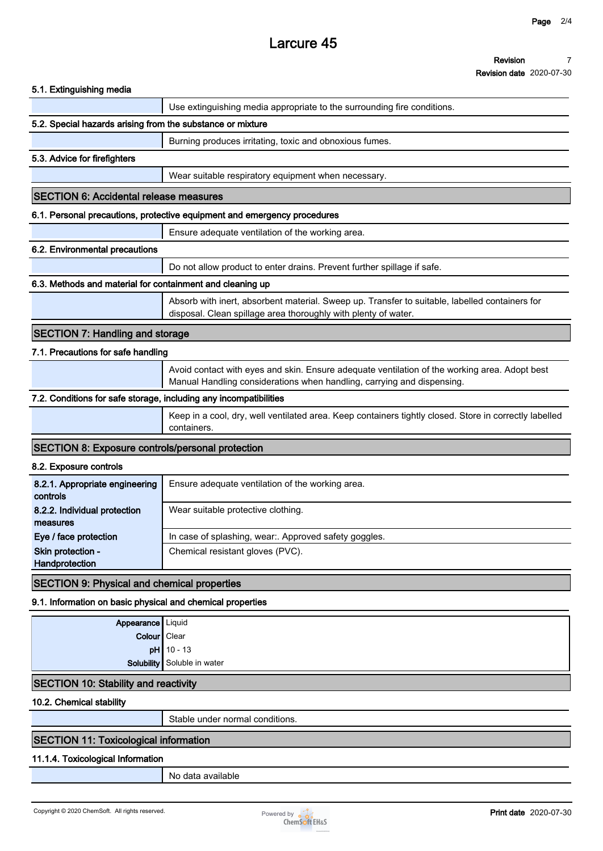# **Larcure 45**

| Revision                        |  |
|---------------------------------|--|
| <b>Revision date 2020-07-30</b> |  |

|                                                                   | ו וסיוטוטוו עמוס בטבט־טו                                                                                                                                                |
|-------------------------------------------------------------------|-------------------------------------------------------------------------------------------------------------------------------------------------------------------------|
| 5.1. Extinguishing media                                          |                                                                                                                                                                         |
|                                                                   | Use extinguishing media appropriate to the surrounding fire conditions.                                                                                                 |
| 5.2. Special hazards arising from the substance or mixture        |                                                                                                                                                                         |
|                                                                   | Burning produces irritating, toxic and obnoxious fumes.                                                                                                                 |
| 5.3. Advice for firefighters                                      |                                                                                                                                                                         |
|                                                                   | Wear suitable respiratory equipment when necessary.                                                                                                                     |
| <b>SECTION 6: Accidental release measures</b>                     |                                                                                                                                                                         |
|                                                                   | 6.1. Personal precautions, protective equipment and emergency procedures                                                                                                |
|                                                                   | Ensure adequate ventilation of the working area.                                                                                                                        |
| 6.2. Environmental precautions                                    |                                                                                                                                                                         |
|                                                                   | Do not allow product to enter drains. Prevent further spillage if safe.                                                                                                 |
| 6.3. Methods and material for containment and cleaning up         |                                                                                                                                                                         |
|                                                                   | Absorb with inert, absorbent material. Sweep up. Transfer to suitable, labelled containers for<br>disposal. Clean spillage area thoroughly with plenty of water.        |
| <b>SECTION 7: Handling and storage</b>                            |                                                                                                                                                                         |
| 7.1. Precautions for safe handling                                |                                                                                                                                                                         |
|                                                                   | Avoid contact with eyes and skin. Ensure adequate ventilation of the working area. Adopt best<br>Manual Handling considerations when handling, carrying and dispensing. |
| 7.2. Conditions for safe storage, including any incompatibilities |                                                                                                                                                                         |
|                                                                   | Keep in a cool, dry, well ventilated area. Keep containers tightly closed. Store in correctly labelled<br>containers.                                                   |
| <b>SECTION 8: Exposure controls/personal protection</b>           |                                                                                                                                                                         |
| 8.2. Exposure controls                                            |                                                                                                                                                                         |
| 8.2.1. Appropriate engineering<br>controls                        | Ensure adequate ventilation of the working area.                                                                                                                        |
| 8.2.2. Individual protection<br>measures                          | Wear suitable protective clothing.                                                                                                                                      |
| Eye / face protection                                             | In case of splashing, wear:. Approved safety goggles.                                                                                                                   |
| Skin protection -<br>Handprotection                               | Chemical resistant gloves (PVC).                                                                                                                                        |
| <b>SECTION 9: Physical and chemical properties</b>                |                                                                                                                                                                         |
| 9.1. Information on basic physical and chemical properties        |                                                                                                                                                                         |
| Appearance Liquid                                                 |                                                                                                                                                                         |
| Colour   Clear                                                    |                                                                                                                                                                         |
|                                                                   | $pH$ 10 - 13                                                                                                                                                            |
| <b>Solubility</b>                                                 | Soluble in water                                                                                                                                                        |
| <b>SECTION 10: Stability and reactivity</b>                       |                                                                                                                                                                         |
| 10.2. Chemical stability                                          |                                                                                                                                                                         |
|                                                                   | Stable under normal conditions.                                                                                                                                         |

## **SECTION 11: Toxicological information**

## **11.1.4. Toxicological Information**

**No data available**

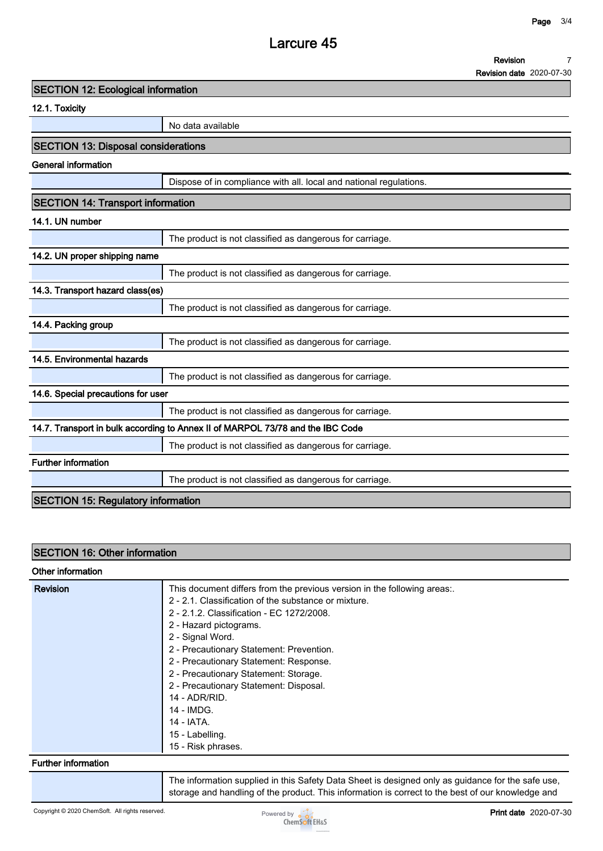## **Larcure 45**

**Revision 7**

**Revision date 2020-07-30**

**12.1. Toxicity**

**No data available**

### **SECTION 13: Disposal considerations**

**General information**

**Dispose of in compliance with all. local and national regulations.**

## **SECTION 14: Transport information**

## **14.1. UN number**

| 14. I. UN IIUIIIDU                        |                                                                                |
|-------------------------------------------|--------------------------------------------------------------------------------|
|                                           | The product is not classified as dangerous for carriage.                       |
| 14.2. UN proper shipping name             |                                                                                |
|                                           | The product is not classified as dangerous for carriage.                       |
| 14.3. Transport hazard class(es)          |                                                                                |
|                                           | The product is not classified as dangerous for carriage.                       |
| 14.4. Packing group                       |                                                                                |
|                                           | The product is not classified as dangerous for carriage.                       |
| 14.5. Environmental hazards               |                                                                                |
|                                           | The product is not classified as dangerous for carriage.                       |
| 14.6. Special precautions for user        |                                                                                |
|                                           | The product is not classified as dangerous for carriage.                       |
|                                           | 14.7. Transport in bulk according to Annex II of MARPOL 73/78 and the IBC Code |
|                                           | The product is not classified as dangerous for carriage.                       |
| <b>Further information</b>                |                                                                                |
|                                           | The product is not classified as dangerous for carriage.                       |
| <b>SECTION 15: Regulatory information</b> |                                                                                |

### **SECTION 16: Other information**

### **Other information**

| <b>Revision</b> | This document differs from the previous version in the following areas<br>2 - 2.1. Classification of the substance or mixture.<br>2 - 2.1.2. Classification - EC 1272/2008.<br>2 - Hazard pictograms.<br>2 - Signal Word.<br>2 - Precautionary Statement: Prevention.<br>2 - Precautionary Statement: Response.<br>2 - Precautionary Statement: Storage.<br>2 - Precautionary Statement: Disposal.<br>14 - ADR/RID. |
|-----------------|---------------------------------------------------------------------------------------------------------------------------------------------------------------------------------------------------------------------------------------------------------------------------------------------------------------------------------------------------------------------------------------------------------------------|
|                 | 14 - IMDG.                                                                                                                                                                                                                                                                                                                                                                                                          |
|                 | 14 - IATA.                                                                                                                                                                                                                                                                                                                                                                                                          |
|                 | 15 - Labelling.<br>15 - Risk phrases.                                                                                                                                                                                                                                                                                                                                                                               |

### **Further information**

**The information supplied in this Safety Data Sheet is designed only as guidance for the safe use, storage and handling of the product. This information is correct to the best of our knowledge and**